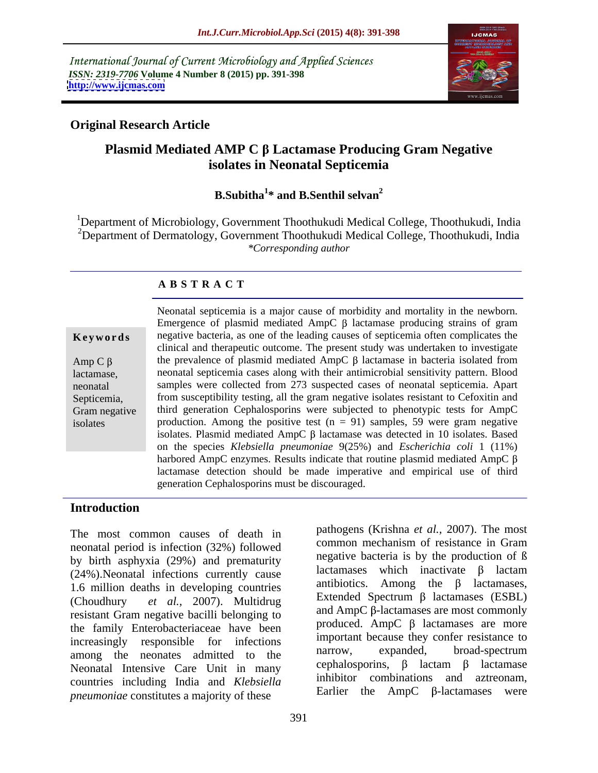International Journal of Current Microbiology and Applied Sciences *ISSN: 2319-7706* **Volume 4 Number 8 (2015) pp. 391-398 <http://www.ijcmas.com>**



### **Original Research Article**

## **Plasmid Mediated AMP C Lactamase Producing Gram Negative isolates in Neonatal Septicemia**

#### **B.Subitha**<sup>1\*</sup> and **B.Senthil selvan**<sup>2</sup> **\* and B.Senthil selvan2**

1Department of Microbiology, Government Thoothukudi Medical College, Thoothukudi, India <sup>2</sup>Department of Dermatology, Government Thoothukudi Medical College, Thoothukudi, India *\*Corresponding author*

### **A B S T R A C T**

isolates

Neonatal septicemia is a major cause of morbidity and mortality in the newborn. Emergence of plasmid mediated  $AmpC \beta$  lactamase producing strains of gram **Keywords** negative bacteria, as one of the leading causes of septicemia often complicates the clinical and therapeutic outcome. The present study was undertaken to investigate Amp C  $\beta$  the prevalence of plasmid mediated AmpC  $\beta$  lactamase in bacteria isolated from neonatal septicemia cases along with their antimicrobial sensitivity pattern. Blood lactamase, samples were collected from 273 suspected cases of neonatal septicemia. Apart neonatal from susceptibility testing, all the gram negative isolates resistant to Cefoxitin and Septicemia, from susceptibility testing, all the gram negative isolates resistant to Cefoxitin and<br>Gram negative third generation Cephalosporins were subjected to phenotypic tests for AmpC production. Among the positive test  $(n = 91)$  samples, 59 were gram negative isolates. Plasmid mediated AmpC  $\beta$  lactamase was detected in 10 isolates. Based on the species *Klebsiella pneumoniae* 9(25%) and *Escherichia coli* 1 (11%) harbored AmpC enzymes. Results indicate that routine plasmid mediated AmpC  $\beta$ lactamase detection should be made imperative and empirical use of third generation Cephalosporins must be discouraged.

### **Introduction**

The most common causes of death in neonatal period is infection (32%) followed by birth asphyxia (29%) and prematurity and  $\frac{\text{negative}}{\text{accuracy}}$  birth inactivate  $\beta$  lactam (24%).Neonatal infections currently cause 1.6 million deaths in developing countries (Choudhury *et al.,* 2007). Multidrug resistant Gram negative bacilli belonging to the family Enterobacteriaceae have been increasingly responsible for infections important because they conter resistance to<br>mong the peoples educated to the narrow, expanded, broad-spectrum among the neonates admitted to the narrow, expanded, proad-spectrum<br>Neonatel Intensive Care Unit in many cephalosporins,  $\beta$  lactam  $\beta$  lactamase Neonatal Intensive Care Unit in many countries including India and *Klebsiella pneumoniae* constitutes a majority of these

pathogens (Krishna *et al.,* 2007). The most common mechanism of resistance in Gram negative bacteria is by the production of ß lactamases which inactivate  $\beta$  lactam antibiotics. Among the  $\beta$  lactamases, Extended Spectrum  $\beta$  lactamases (ESBL) and  $AmpC$   $\beta$ -lactamases are most commonly produced. AmpC  $\beta$  lactamases are more important because they confer resistance to narrow, expanded, broad-spectrum cephalosporins,  $\beta$  lactam  $\beta$  lactamase inhibitor combinations and aztreonam, Earlier the  $AmpC$   $\beta$ -lactamases were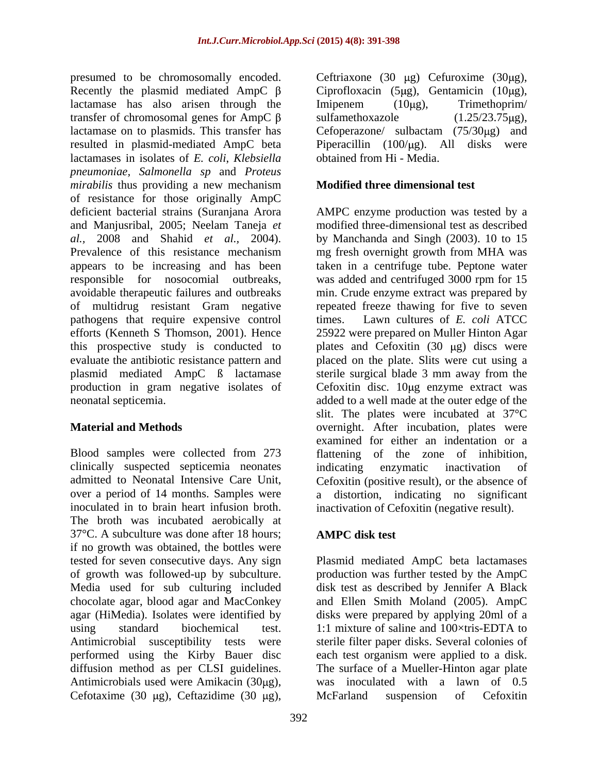presumed to be chromosomally encoded. Ceftriaxone  $(30 \mu g)$  Cefuroxime  $(30\mu g)$ , Recently the plasmid mediated AmpC  $\beta$  Ciprofloxacin (5µg), Gentamicin (10µg), lactamase has also arisen through the Imipenem (10µg), Trimethoprim/ transfer of chromosomal genes for AmpC  $\beta$  sulfamethoxazole (1.25/23.75µg), lactamase on to plasmids. This transfer has Cefoperazone/ sulbactam (75/30µg) and resulted in plasmid-mediated AmpC beta Piperacillin (100/µg). All disks were lactamases in isolates of *E. coli*, *Klebsiella pneumoniae, Salmonella sp* and *Proteus mirabilis* thus providing a new mechanism of resistance for those originally AmpC deficient bacterial strains (Suranjana Arora AMPC enzyme production was tested by a and Manjusribal, 2005; Neelam Taneja *et al.,* 2008 and Shahid *et al.,* 2004). by Manchanda and Singh (2003). 10 to 15 Prevalence of this resistance mechanism mg fresh overnight growth from MHA was appears to be increasing and has been taken in a centrifuge tube. Peptone water responsible for nosocomial outbreaks, was added and centrifuged 3000 rpm for 15 avoidable therapeutic failures and outbreaks min. Crude enzyme extract was prepared by of multidrug resistant Gram negative repeated freeze thawing for five to seven pathogens that require expensive control times. Lawn cultures of E. coli ATCC efforts (Kenneth S Thomson, 2001). Hence 25922 were prepared on Muller Hinton Agar this prospective study is conducted to  $\Box$  plates and Cefoxitin (30  $\mu$ g) discs were evaluate the antibiotic resistance pattern and placed on the plate. Slits were cut using a plasmid mediated AmpC ß lactamase sterile surgical blade 3 mm away from the production in gram negative isolates of Cefoxitin disc. 10 µg enzyme extract was neonatal septicemia. added to a well made at the outer edge of the presention and the boson of the column of the column of the state of the state of the state of the state of the state of the state of the state of the state of the state of the state of the state of the state of the state

Blood samples were collected from 273 flattening of the zone of inhibition, clinically suspected septicemia neonates admitted to Neonatal Intensive Care Unit, Cefoxitin (positive result), or the absence of over a period of 14 months. Samples were a distortion, indicating no significant inoculated in to brain heart infusion broth. inactivation of Cefoxitin (negative result). The broth was incubated aerobically at 37<sup>o</sup>C. A subculture was done after 18 hours; **AMPC disk test** if no growth was obtained, the bottles were Media used for sub culturing included diffusion method as per CLSI guidelines. Antimicrobials used were Amikacin  $(30\mu g)$ ,

 $sulfamethoxazole$  (1.25/23.75 $\mu$ g), obtained from Hi - Media.

### **Modified three dimensional test**

**Material and Methods** overnight. After incubation, plates were modified three-dimensional test as described times. Lawn cultures of *E. coli* ATCC slit. The plates were incubated at 37°C examined for either an indentation or a indicating enzymatic inactivation of

### **AMPC disk test**

tested for seven consecutive days. Any sign Plasmid mediated AmpC beta lactamases of growth was followed-up by subculture. production was further tested by the AmpC chocolate agar, blood agar and MacConkey and Ellen Smith Moland (2005). AmpC agar (HiMedia). Isolates were identified by disks were prepared by applying 20ml of a using standard biochemical test. 1:1 mixture of saline and 100×tris-EDTA to Antimicrobial susceptibility tests were sterile filter paper disks. Several colonies of performed using the Kirby Bauer disc each test organism were applied to a disk. disk test as described by Jennifer A Black The surface of a Mueller-Hinton agar plate was inoculated with a lawn of 0.5 McFarland suspension of Cefoxitin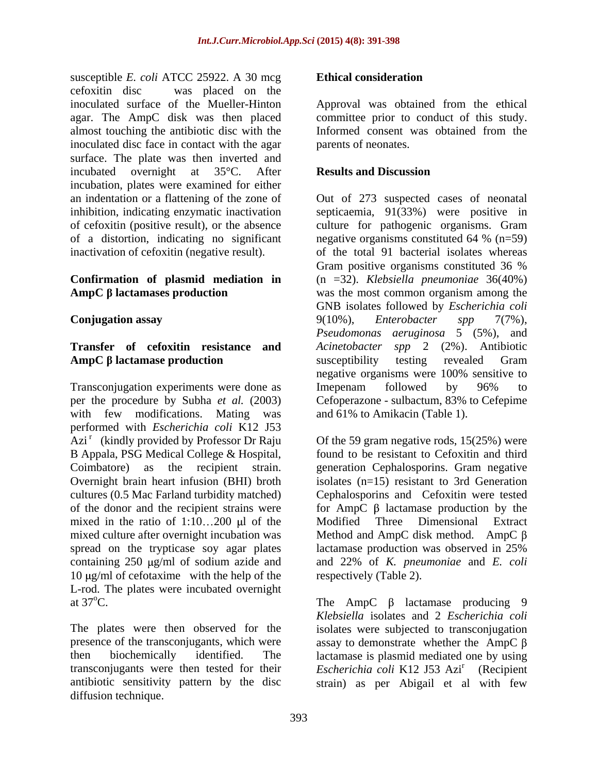susceptible *E. coli* ATCC 25922. A 30 mcg **Ethical consideration** cefoxitin disc was placed on the inoculated surface of the Mueller-Hinton Approval was obtained from the ethical agar. The AmpC disk was then placed committee prior to conduct of this study. almost touching the antibiotic disc with the inoculated disc face in contact with the agar surface. The plate was then inverted and incubated overnight at 35°C. After **Results and Discussion** incubation, plates were examined for either an indentation or a flattening of the zone of of cefoxitin (positive result), or the absence of a distortion, indicating no significant negative organisms constituted 64 %  $(n=59)$ 

# **Transfer of cefoxitin resistance and**

Transconjugation experiments were done as Imepenam followed by 96% to per the procedure by Subha *et al.* (2003) with few modifications. Mating was performed with *Escherichia coli* K12 J53 Azi<sup>r</sup> (kindly provided by Professor Dr Raju B Appala, PSG Medical College & Hospital, mixed in the ratio of  $1:10...200$  ul of the Modified Three Dimensional Extract spread on the trypticase soy agar plates lactamase production was observed in 25%  $10 \mu g/ml$  of cefotaxime with the help of the respectively (Table 2). L-rod. The plates were incubated overnight at  $37^{\circ}$ C. at  $37^{\circ}$ C. The AmpC  $\beta$  lactamase producing 9

diffusion technique.

### **Ethical consideration**

Informed consent was obtained from the parents of neonates.

#### **Results and Discussion**

inhibition, indicating enzymatic inactivation septicaemia, 91(33%) were positive in inactivation of cefoxitin (negative result). The total 91 bacterial isolates whereas **Confirmation of plasmid mediation in** (n =32). *Klebsiella pneumoniae* 36(40%) **AmpC** β lactamases production was the most common organism among the **Conjugation assay**  $9(10\%)$ , *Enterobacter* spp 7(7%), **AmpC lactamase production** Out of 273 suspected cases of neonatal culture for pathogenic organisms. Gram negative organisms constituted 64 % (n=59) Gram positive organisms constituted 36 % GNB isolates followed by *Escherichia coli* 9(10%), *Enterobacter spp* 7(7%), *Pseudomonas aeruginosa* 5 (5%), and *Acinetobacter spp* 2 (2%). Antibiotic susceptibility testing revealed Gram negative organisms were 100% sensitive to Imepenam followed by 96% to Cefoperazone - sulbactum, 83% to Cefepime and 61% to Amikacin (Table 1).

(kindly provided by Professor Dr Raju Of the 59 gram negative rods, 15(25%) were Coimbatore) as the recipient strain. generation Cephalosporins. Gram negative Overnight brain heart infusion (BHI) broth isolates (n=15) resistant to 3rd Generation cultures (0.5 Mac Farland turbidity matched) Cephalosporins and Cefoxitin were tested of the donor and the recipient strains were for  $AmpC \beta$  lactamase production by the mixed culture after overnight incubation was Method and AmpC disk method. AmpC  $\beta$ containing 250 g/ml of sodium azide and and 22% of *K. pneumoniae* and *E. coli* found to be resistant to Cefoxitin and third Modified Three Dimensional Extract lactamase production was observed in 25% respectively (Table 2).

The plates were then observed for the isolates were subjected to transconjugation presence of the transconjugants, which were assay to demonstrate whether the AmpC  $\beta$ then biochemically identified. The lactamase is plasmid mediated one by using transconjugants were then tested for their *Escherichia coli* K12 J53 Azi<sup>r</sup> antibiotic sensitivity pattern by the disc strain) as per Abigail et al with few*Klebsiella* isolates and 2 *Escherichia coli* (Recipient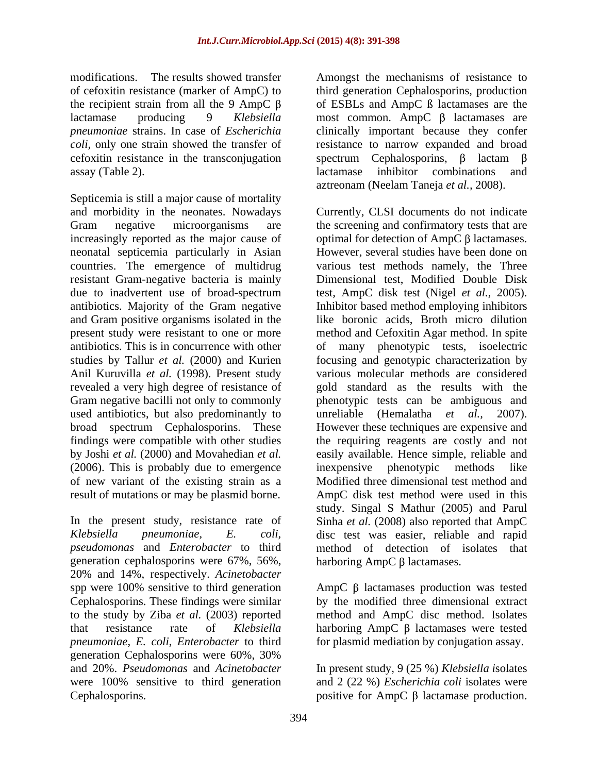modifications. The results showed transfer Amongst the mechanisms of resistance to of cefoxitin resistance (marker of AmpC) to third generation Cephalosporins, production the recipient strain from all the 9 AmpC  $\beta$  of ESBLs and AmpC  $\beta$  lactamases are the lactamase producing 9 *Klebsiella* most common. AmpC β lactamases are *pneumoniae* strains. In case of *Escherichia*  clinically important because they confer *coli,* only one strain showed the transfer of resistance to narrow expanded and broad cefoxitin resistance in the transconjugation spectrum Cephalosporins,  $\beta$  lactam  $\beta$ assay (Table 2). lactamase inhibitor combinations and

Septicemia is still a major cause of mortality increasingly reported as the major cause of optimal for detection of AmpC  $\beta$  lactamases. neonatal septicemia particularly in Asian<br>
countries. The emergence of multidrug various test methods namely, the Three present study were resistant to one or more Anil Kuruvilla *et al.* (1998). Present study used antibiotics, but also predominantly to unreliable (Hemalatha et al., 2007). (2006). This is probably due to emergence inexpensive phenotypic methods like of new variant of the existing strain as a

*pseudomonas* and *Enterobacter* to third generation cephalosporins were  $67\%$ ,  $56\%$ , harboring AmpC  $\beta$  lactamases. 20% and 14%, respectively. *Acinetobacter*  spp were 100% sensitive to third generation Cephalosporins. These findings were similar by the modified three dimensional extract to the study by Ziba *et al.* (2003) reported method and AmpC disc method.Isolates that resistance rate of *Klebsiella* harboring  $AmpC \beta$  lactamases were tested *pneumoniae*, *E. coli*, *Enterobacter* to third for plasmid mediation by conjugation assay. generation Cephalosporins were 60%, 30% and 20%. *Pseudomonas* and *Acinetobacter* In present study, 9 (25 %) *Klebsiella i*solates were 100% sensitive to third generation and 2 (22 %) *Escherichia coli* isolates were Cephalosporins.  $\qquad \qquad \text{positive for AmpC } \beta \text{ lactamase production.}$ 

lactamase inhibitor combinations and aztreonam (Neelam Taneja *et al.,* 2008).

and morbidity in the neonates. Nowadays Currently, CLSI documents do not indicate Gram negative microorganisms are the screening and confirmatory tests that are countries. The emergence of multidrug various test methods namely, the Three resistant Gram-negative bacteria is mainly Dimensional test, Modified Double Disk due to inadvertent use of broad-spectrum test, AmpC disk test (Nigel *et al.,* 2005). antibiotics. Majority of the Gram negative Inhibitor based method employing inhibitors and Gram positive organisms isolated in the like boronic acids, Broth micro dilution antibiotics. This is in concurrence with other of many phenotypic tests, isoelectric studies by Tallur *et al.* (2000) and Kurien focusing and genotypic characterization by revealed a very high degree of resistance of gold standard as the results with the Gram negative bacilli not only to commonly phenotypic tests can be ambiguous and broad spectrum Cephalosporins. These However these techniques are expensive and findings were compatible with other studies the requiring reagents are costly and not by Joshi *et al.* (2000) and Movahedian *et al.* easily available. Hence simple, reliable and result of mutations or may be plasmid borne. AmpC disk test method were used in this In the present study, resistance rate of Sinha *et al.* (2008) also reported that AmpC *Klebsiella pneumoniae, E. coli,*  disc test was easier, reliable and rapid optimal for detection of AmpC  $\beta$  lactamases.<br>However, several studies have been done on method and Cefoxitin Agar method. In spite various molecular methods are considered unreliable (Hemalatha *et al.,* 2007). inexpensive phenotypic methods like Modified three dimensional test method and study. Singal S Mathur (2005) and Parul method of detection of isolates harboring  $AmpC \beta$  lactamases.

AmpC  $\beta$  lactamases production was tested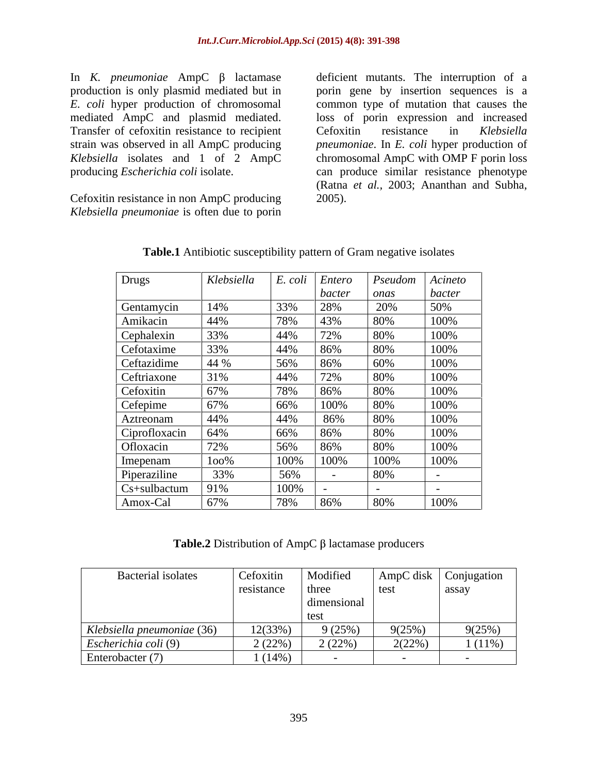Transfer of cefoxitin resistance to recipient Cefoxitin resistance in Klebsiella

Cefoxitin resistance in non AmpC producing *Klebsiella pneumoniae* is often due to porin

In *K. pneumoniae* AmpC  $\beta$  lactamase deficient mutants. The interruption of a production is only plasmid mediated but in porin gene by insertion sequences is a *E. coli* hyper production of chromosomal common type of mutation that causes the mediated AmpC and plasmid mediated. loss of porin expression and increased strain was observed in all AmpC producing *pneumoniae*. In *E. coli* hyper production of *Klebsiella* isolates and 1 of 2 AmpC chromosomal AmpC with OMP F porin loss producing *Escherichia coli* isolate. can produce similar resistance phenotype Cefoxitin resistance in *Klebsiella*  (Ratna *et al.,* 2003; Ananthan and Subha, 2005).

| Drugs                                                             | Klebsiella | E. coli<br>Entero            | Pseudom      | Acineto                                        |
|-------------------------------------------------------------------|------------|------------------------------|--------------|------------------------------------------------|
|                                                                   |            | bacter                       | onas         | <i>bacter</i>                                  |
|                                                                   | 14%        | 33%<br>28%                   | 20%          | 50%                                            |
| Gentamycin<br>Amikacin                                            | 44%        | 78%<br>43%                   | 8U%          | 100%                                           |
|                                                                   | 33%        | $ 44\%$<br>$12\%$            |              | 100%                                           |
| Cephalexin<br>Cefotaxime<br>Ceftazidime<br>Cefoxitin<br>Cefoxitin | 33%        | 44%<br>86%                   | 80%          |                                                |
|                                                                   | 44 %       | 56%<br>80%                   | 60%          | $\frac{100\%}{100\%}$                          |
|                                                                   | 31%        | 44%<br>$\sqrt{20}$<br>$12\%$ | $\delta U\%$ | 100%                                           |
|                                                                   | 67%        | 78%<br>$80\%$                | 80%          |                                                |
| Cefepime                                                          | 67%        | 100%<br>66%                  | 80%          | $\frac{100\%}{100\%}$<br>$\frac{100\%}{100\%}$ |
|                                                                   | 44%        | 44%<br>86%                   | 80%          |                                                |
|                                                                   | 64%        | 66%<br>$80\%$                | 80%          | 100%                                           |
| Aztreonam<br>Ciprofloxacin<br>Ofloxacin                           | 72%        | 56%                          |              | 100%                                           |
| Imepenam                                                          | $100\%$    | 100%<br>100%                 | 100%         | 100%                                           |
| Piperaziline                                                      | 33%        | 56%                          | 80%          | $\sim$ $\sim$                                  |
| Cs+sulbactum                                                      | 91%        | 100%                         |              |                                                |
| Amox-Cal                                                          | 67%        | 78%<br>86%                   | 80%          | 100%                                           |

**Table.1** Antibiotic susceptibility pattern of Gram negative isolates

**Table.2** Distribution of AmpC  $\beta$  lactamase producers

| Bacterial isolates         | Cefoxitin  | Modified                 | AmpC disk                               | Conjugation |
|----------------------------|------------|--------------------------|-----------------------------------------|-------------|
|                            | resistance | three                    | $\vert$ test                            | assay       |
|                            |            | dimensional              |                                         |             |
|                            |            | test                     |                                         |             |
| Klebsiella pneumoniae (36) | 12(33%)    | 9(25%)                   | 9(25%)                                  | 9(25%)      |
| Escherichia coli (9)       | 2(22%      | $(220\%)$<br>$\sim$ (447 | 2(22%<br>$\angle$ ( $\angle$ $\angle$ ) | $(11\%)$    |
| Enterobacter (7)           | (14%       |                          |                                         |             |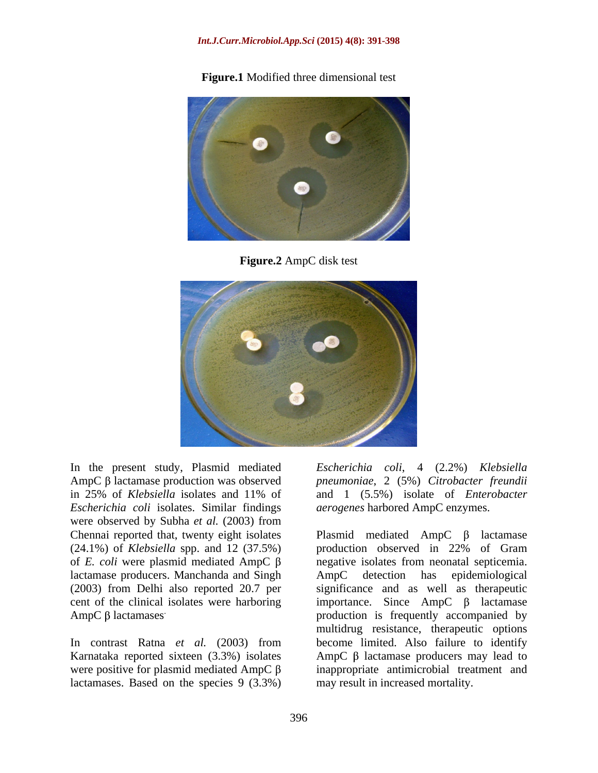#### *Int.J.Curr.Microbiol.App.Sci* **(2015) 4(8): 391-398**

**Figure.1** Modified three dimensional test



**Figure.2** AmpC disk test



In the present study, Plasmid mediated *Escherichia coli*, 4 (2.2%) *Klebsiella*  AmpC β lactamase production was observed pneumoniae, 2 (5%) *Citrobacter freundii* in 25% of *Klebsiella* isolates and 11% of and 1 (5.5%) isolate of *Enterobacter Escherichia coli* isolates. Similar findings were observed by Subha *et al.* (2003) from Chennai reported that, twenty eight isolates Plasmid mediated  $AmpC \beta$  lactamase (24.1%) of *Klebsiella* spp. and 12 (37.5%) lactamase producers. Manchanda and Singh AmpC detection has epidemiological cent of the clinical isolates were harboring

lactamases. Based on the species 9 (3.3%)

*aerogenes* harbored AmpC enzymes.

of *E. coli* were plasmid mediated  $\text{AmpC}$   $\beta$  negative isolates from neonatal septicemia. (2003) from Delhi also reported 20.7 per significance and as well as therapeutic  $\text{AmpC } \beta$  lactamases  $\qquad \qquad \text{production}$  is frequently accompanied by AmpC  $\beta$  lactamases<br>In contrast Ratna *et al.* (2003) from become limited. Also failure to identify Karnataka reported sixteen (3.3%) isolates  $\Delta mpc \beta$  lactamase producers may lead to were positive for plasmid mediated  $\text{AmpC} \beta$  inappropriate antimicrobial treatment and *aerogenes* harbored AmpC enzymes.<br>Plasmid mediated AmpC β lactamase production observed in 22% of Gram AmpC detection has epidemiological importance. Since  $AmpC$   $\beta$  lactamase multidrug resistance, therapeutic options become limited. Also failure to identify may result in increased mortality.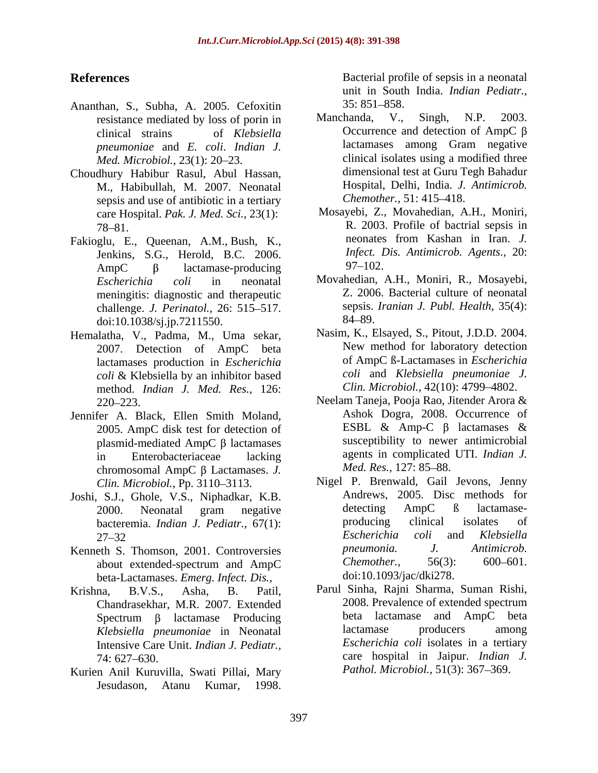- Ananthan, S., Subha, A. 2005. Cefoxitin<br>resistance mediated by loss of portion in Manchanda, V., Singh, N.P. 2003. resistance mediated by loss of porin in *pneumoniae* and *E. coli*. *Indian J. Med. Microbiol.,* 23(1): 20–23.
- Choudhury Habibur Rasul, Abul Hassan, M., Habibullah, M. 2007. Neonatal Hospital, Delhi, India. J.<br>sensis and use of antibiotic in a tertiary Chemother., 51: 415–418. sepsis and use of antibiotic in a tertiary care Hospital. *Pak. J. Med. Sci.,* 23(1):
- Jenkins, S.G., Herold, B.C. 2006. *Infect. I*<br>AmpC  $\beta$  lecterse reducing 97–102.  $\text{AmpC}$   $\beta$  lactamase-producing  $\frac{97-102}{100}$ meningitis: diagnostic and therapeutic challenge. *J. Perinatol.*, 26: 515–517. sepsis.<br>doi:10.1038/si in 7211550 84–89. doi:10.1038/sj.jp.7211550.
- Hemalatha, V., Padma, M., Uma sekar, 2007. Detection of AmpC beta lactamases production in *Escherichia coli* & Klebsiella by an inhibitor based method. *Indian J. Med. Res.,* 126:
- Jennifer A. Black, Ellen Smith Moland, Ashok Dogra, 2008. Occurrence of 2005. AmpC disk test for detection of ESBL & Amp-C β lactamases & 2005. AmpC disk test for detection of plasmid-mediated AmpC  $\beta$  lactamases chromosomal AmpC  $\beta$  Lactamases. *J. Med. Res.*, 127: 85–88.
- Joshi, S.J., Ghole, V.S., Niphadkar, K.B.<br>
2000. Neonatal gram negative detecting AmpC B lactamase-
- beta-Lactamases. *Emerg. Infect. Dis.,*
- Chandrasekhar, M.R. 2007. Extended Intensive Care Unit. *Indian J. Pediatr.,*
- Kurien Anil Kuruvilla, Swati Pillai, Mary

**References** Bacterial profile of sepsis in a neonatal unit in South India. *Indian Pediatr.,*  $35: 851 - 858.$ 

- clinical strains of *Klebsiella* Occurrence and detection of AmpC  $\beta$ Manchanda, V., Singh, N.P. 2003. lactamases among Gram negative clinical isolates using a modified three dimensional test at Guru Tegh Bahadur Hospital, Delhi, India. *J. Antimicrob. Chemother.,* 51: 415–418.
- 78 81. R. 2003. Profile of bactrial sepsis in Fakioglu, E., Queenan, A.M., Bush, K., neonates from Kashan in Iran. J. Mosayebi, Z., Movahedian, A.H., Moniri, neonates from Kashan in Iran. *J. Infect. Dis. Antimicrob. Agents.,* 20:  $97 - 102.$ 
	- *Escherichia coli* in neonatal Movahedian, A.H., Moniri, R., Mosayebi, meningitis: diagnostic and therapeutic Z. 2006. Bacterial culture of neonatal Movahedian, A.H., Moniri, R., Mosayebi, Z. 2006. Bacterial culture of neonatal sepsis. *Iranian J. Publ. Health*, 35(4): 84–89.
		- Nasim, K., Elsayed, S., Pitout, J.D.D. 2004. New method for laboratory detection of AmpC ß-Lactamases in *Escherichia coli* and *Klebsiella pneumoniae J. Clin. Microbiol.,* 42(10): 4799 4802.
	- 220 223. Neelam Taneja, Pooja Rao, Jitender Arora & in Enterobacteriaceae lacking agents in complicated UTI. *Indian J.* Ashok Dogra, 2008. Occurrence of ESBL & Amp-C  $\beta$  lactamases & susceptibility to newer antimicrobial *Med. Res.,* 127: 85–88.
- Clin. Microbiol., Pp. 3110–3113. Nigel P. Brenwald, Gail Jevons, Jenny 2000. Neonatal gram negative bacteremia. *Indian J. Pediatr.*, 67(1): producing clinical isolates of <br> *P*7–32 *Escherichia coli* and *Klebsiella* 27 32 Kenneth S. Thomson, 2001. Controversies *preumonia.* J. Antimicrob.<br>
about extended-spectrum and AmpC Chemother., 56(3): 600–601. about extended-spectrum and AmpC **Process** From the Bacterial profile of sepsis in a neonatal profile of sepsis in a neonatal profile of sepsis in a neonatal profile of sepsis in the *Rebelian density* of the *Rebelian Charmonica Charmonica Charmonica Ch* Andrews, 2005. Disc methods for detecting AmpC ß lactamase producing clinical isolates of *Escherichia coli* and *Klebsiella pneumonia. J. Antimicrob. Chemother.,* 56(3): 600–601. doi:10.1093/jac/dki278.
- Krishna, B.V.S., Asha, B. Patil, Parul Sinha, Rajni Sharma, Suman Rishi, Spectrum  $\beta$  lactamase Producing  $\qquad$  beta lactamase and AmpC beta *Klebsiella pneumoniae* in Neonatal 74: 627 630. care hospital in Jaipur. *Indian J.* 2008. Prevalence of extended spectrum beta lactamase and AmpC beta lactamase producers among *Escherichia coli* isolates in a tertiary Pathol. Microbiol., 51(3): 367-369.